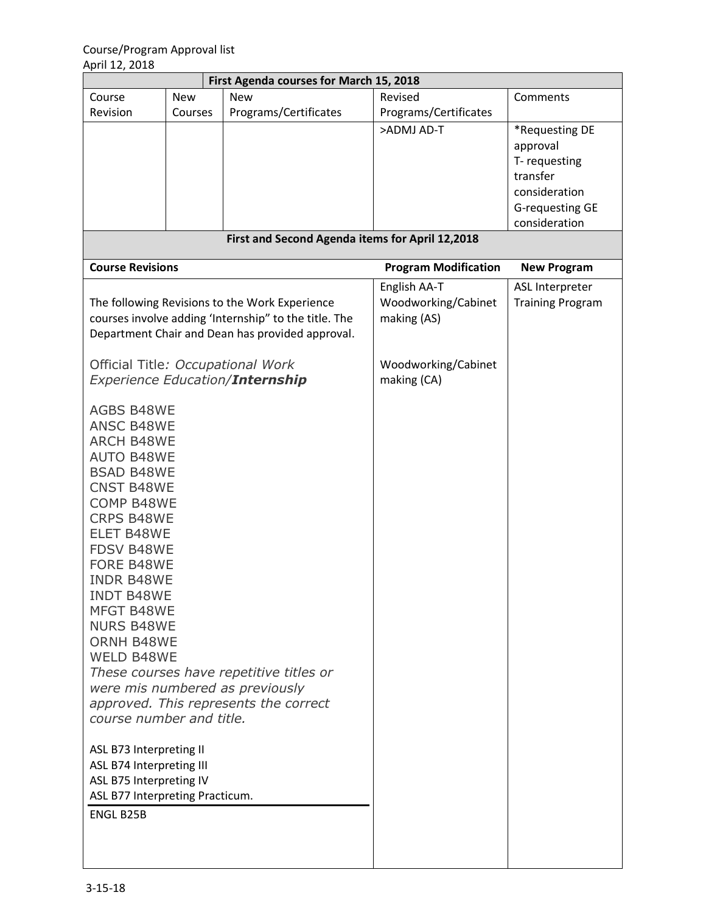| First Agenda courses for March 15, 2018                                                                                                                                                                                                                                                                                                                                                                                                                                                                                                                                                                                                         |            |                       |                                                                                          |                                                                                                             |  |  |  |  |
|-------------------------------------------------------------------------------------------------------------------------------------------------------------------------------------------------------------------------------------------------------------------------------------------------------------------------------------------------------------------------------------------------------------------------------------------------------------------------------------------------------------------------------------------------------------------------------------------------------------------------------------------------|------------|-----------------------|------------------------------------------------------------------------------------------|-------------------------------------------------------------------------------------------------------------|--|--|--|--|
| Course                                                                                                                                                                                                                                                                                                                                                                                                                                                                                                                                                                                                                                          | <b>New</b> | <b>New</b>            | Revised                                                                                  | Comments                                                                                                    |  |  |  |  |
| Revision                                                                                                                                                                                                                                                                                                                                                                                                                                                                                                                                                                                                                                        | Courses    | Programs/Certificates | Programs/Certificates                                                                    |                                                                                                             |  |  |  |  |
|                                                                                                                                                                                                                                                                                                                                                                                                                                                                                                                                                                                                                                                 |            |                       | >ADMJ AD-T                                                                               | *Requesting DE<br>approval<br>T-requesting<br>transfer<br>consideration<br>G-requesting GE<br>consideration |  |  |  |  |
| First and Second Agenda items for April 12,2018                                                                                                                                                                                                                                                                                                                                                                                                                                                                                                                                                                                                 |            |                       |                                                                                          |                                                                                                             |  |  |  |  |
| <b>Course Revisions</b>                                                                                                                                                                                                                                                                                                                                                                                                                                                                                                                                                                                                                         |            |                       | <b>Program Modification</b>                                                              | <b>New Program</b>                                                                                          |  |  |  |  |
| The following Revisions to the Work Experience<br>courses involve adding 'Internship" to the title. The<br>Department Chair and Dean has provided approval.<br>Official Title: Occupational Work<br><b>Experience Education/Internship</b>                                                                                                                                                                                                                                                                                                                                                                                                      |            |                       | English AA-T<br>Woodworking/Cabinet<br>making (AS)<br>Woodworking/Cabinet<br>making (CA) | ASL Interpreter<br><b>Training Program</b>                                                                  |  |  |  |  |
| <b>AGBS B48WE</b><br><b>ANSC B48WE</b><br><b>ARCH B48WE</b><br><b>AUTO B48WE</b><br><b>BSAD B48WE</b><br><b>CNST B48WE</b><br><b>COMP B48WE</b><br><b>CRPS B48WE</b><br><b>ELET B48WE</b><br><b>FDSV B48WE</b><br><b>FORE B48WE</b><br><b>INDR B48WE</b><br><b>INDT B48WE</b><br>MFGT B48WE<br><b>NURS B48WE</b><br>ORNH B48WE<br><b>WELD B48WE</b><br>These courses have repetitive titles or<br>were mis numbered as previously<br>approved. This represents the correct<br>course number and title.<br>ASL B73 Interpreting II<br>ASL B74 Interpreting III<br>ASL B75 Interpreting IV<br>ASL B77 Interpreting Practicum.<br><b>ENGL B25B</b> |            |                       |                                                                                          |                                                                                                             |  |  |  |  |